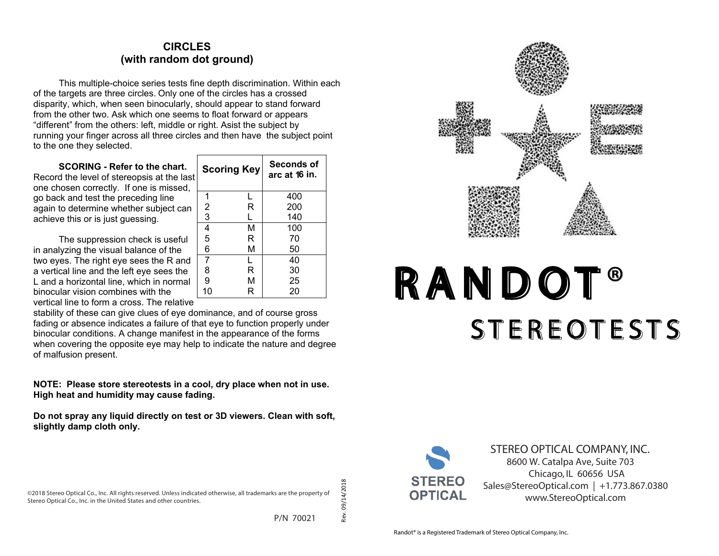# **CIRCLES (with random dot ground)**

This multiple-choice series tests fine depth discrimination. Within each of the targets are three circles. Only one of the circles has a crossed disparity, which, when seen binocularly, should appear to stand forward from the other two. Ask which one seems to float forward or appears "different" from the others: left, middle or right. Asist the subject by running your finger across all three circles and then have the subject point to the one they selected.

**Scoring Key** Seconds of

 1 L 2 R 3 L

 4 M 5 R 6 M

 7 L 8 R 9 M 10 R **6 in.** 

400 200 140

100 70 50

**SCORING - Refer to the chart.**  Record the level of stereopsis at the last one chosen correctly. If one is missed, go back and test the preceding line again to determine whether subject can achieve this or is just guessing.

The suppression check is useful in analyzing the visual balance of the two eyes. The right eye sees the R and a vertical line and the left eye sees the L and a horizontal line, which in normal binocular vision combines with the vertical line to form a cross. The relative

stability of these can give clues of eye dominance, and of course gross fading or absence indicates a failure of that eye to function properly under binocular conditions. A change manifest in the appearance of the forms when covering the opposite eye may help to indicate the nature and degree of malfusion present.

**NOTE: Please store stereotests in a cool, dry place when not in use. High heat and humidity may cause fading.**

**Do not spray any liquid directly on test or 3D viewers. Clean with soft, slightly damp cloth only.**

P/N 70021

Rev. 09/14/2018

λēγ.



# **STEREO FLY TEST** RANDOT® **S T E R E O T E S T S**



**STEREO OPTICAL COMPANY, INC.** 8600 W. Catalpa Ave, Suite 703 Chicago, IL 60656 USA Sales@StereoOptical.com | +1.773.867.0380 www.StereoOptical.com